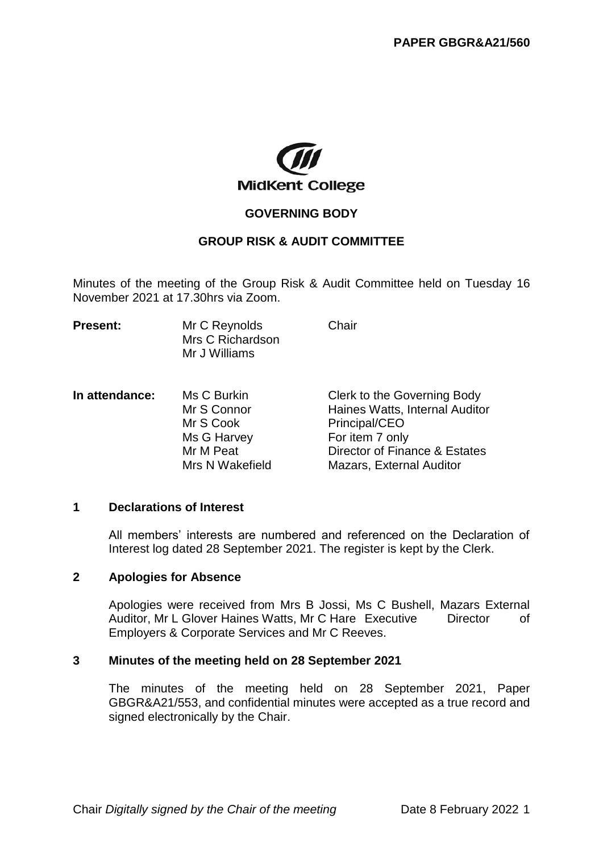

# **GOVERNING BODY**

# **GROUP RISK & AUDIT COMMITTEE**

Minutes of the meeting of the Group Risk & Audit Committee held on Tuesday 16 November 2021 at 17.30hrs via Zoom.

| <b>Present:</b> | Mr C Reynolds    | Chair |
|-----------------|------------------|-------|
|                 | Mrs C Richardson |       |
|                 | Mr J Williams    |       |

**In attendance:** Ms C Burkin Clerk to the Governing Body Mr S Connor **Haines Watts, Internal Auditor** Mr S Cook Principal/CEO Ms G Harvey For item 7 only Mr M Peat Director of Finance & Estates Mrs N Wakefield Mazars, External Auditor

### **1 Declarations of Interest**

All members' interests are numbered and referenced on the Declaration of Interest log dated 28 September 2021. The register is kept by the Clerk.

#### **2 Apologies for Absence**

Apologies were received from Mrs B Jossi, Ms C Bushell, Mazars External Auditor, Mr L Glover Haines Watts, Mr C Hare Executive Director of Employers & Corporate Services and Mr C Reeves.

#### **3 Minutes of the meeting held on 28 September 2021**

The minutes of the meeting held on 28 September 2021, Paper GBGR&A21/553, and confidential minutes were accepted as a true record and signed electronically by the Chair.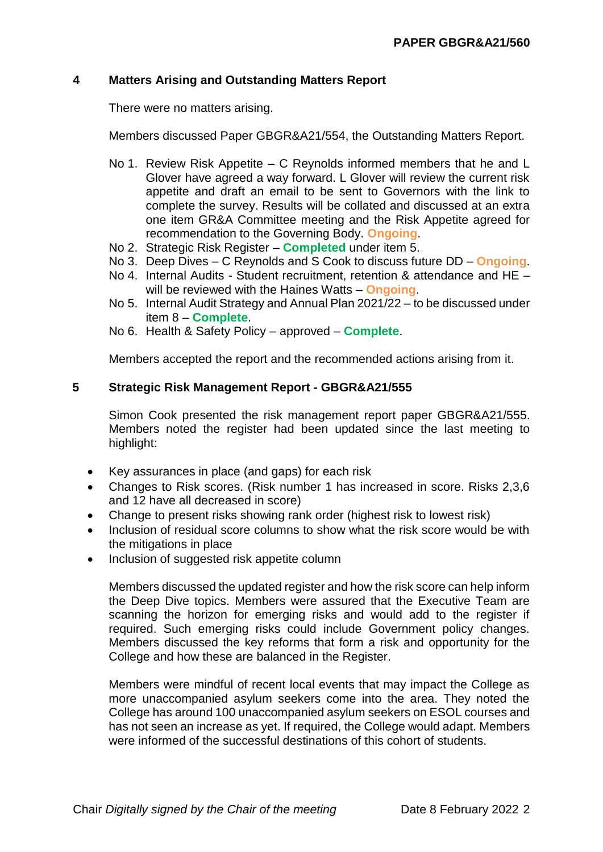## **4 Matters Arising and Outstanding Matters Report**

There were no matters arising.

Members discussed Paper GBGR&A21/554, the Outstanding Matters Report.

- No 1. Review Risk Appetite C Reynolds informed members that he and L Glover have agreed a way forward. L Glover will review the current risk appetite and draft an email to be sent to Governors with the link to complete the survey. Results will be collated and discussed at an extra one item GR&A Committee meeting and the Risk Appetite agreed for recommendation to the Governing Body. **Ongoing**.
- No 2. Strategic Risk Register **Completed** under item 5.
- No 3. Deep Dives C Reynolds and S Cook to discuss future DD **Ongoing**.
- No 4. Internal Audits Student recruitment, retention & attendance and HE will be reviewed with the Haines Watts – **Ongoing**.
- No 5. Internal Audit Strategy and Annual Plan 2021/22 to be discussed under item 8 – **Complete**.
- No 6. Health & Safety Policy approved **Complete**.

Members accepted the report and the recommended actions arising from it.

#### **5 Strategic Risk Management Report - GBGR&A21/555**

Simon Cook presented the risk management report paper GBGR&A21/555. Members noted the register had been updated since the last meeting to highlight:

- Key assurances in place (and gaps) for each risk
- Changes to Risk scores. (Risk number 1 has increased in score. Risks 2,3,6 and 12 have all decreased in score)
- Change to present risks showing rank order (highest risk to lowest risk)
- Inclusion of residual score columns to show what the risk score would be with the mitigations in place
- Inclusion of suggested risk appetite column

Members discussed the updated register and how the risk score can help inform the Deep Dive topics. Members were assured that the Executive Team are scanning the horizon for emerging risks and would add to the register if required. Such emerging risks could include Government policy changes. Members discussed the key reforms that form a risk and opportunity for the College and how these are balanced in the Register.

Members were mindful of recent local events that may impact the College as more unaccompanied asylum seekers come into the area. They noted the College has around 100 unaccompanied asylum seekers on ESOL courses and has not seen an increase as yet. If required, the College would adapt. Members were informed of the successful destinations of this cohort of students.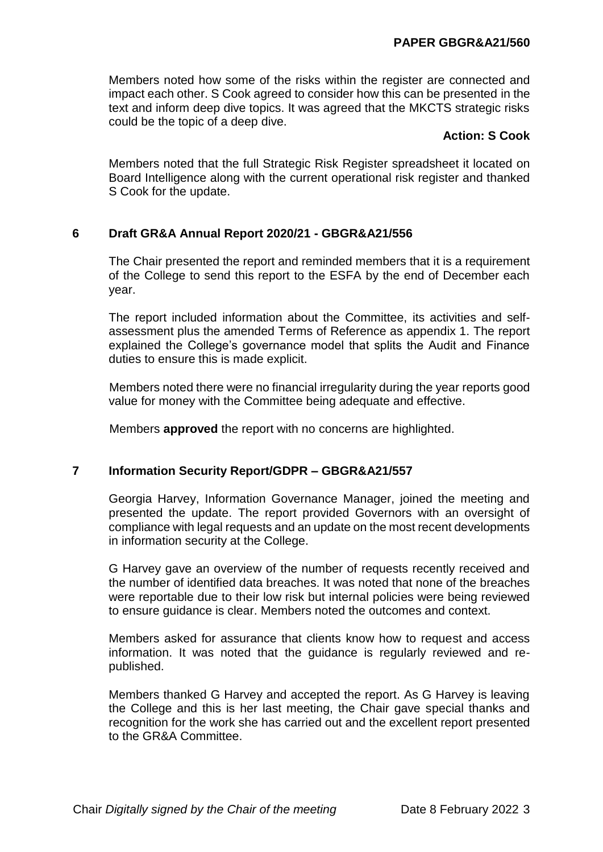Members noted how some of the risks within the register are connected and impact each other. S Cook agreed to consider how this can be presented in the text and inform deep dive topics. It was agreed that the MKCTS strategic risks could be the topic of a deep dive.

## **Action: S Cook**

Members noted that the full Strategic Risk Register spreadsheet it located on Board Intelligence along with the current operational risk register and thanked S Cook for the update.

# **6 Draft GR&A Annual Report 2020/21 - GBGR&A21/556**

The Chair presented the report and reminded members that it is a requirement of the College to send this report to the ESFA by the end of December each year.

The report included information about the Committee, its activities and selfassessment plus the amended Terms of Reference as appendix 1. The report explained the College's governance model that splits the Audit and Finance duties to ensure this is made explicit.

Members noted there were no financial irregularity during the year reports good value for money with the Committee being adequate and effective.

Members **approved** the report with no concerns are highlighted.

# **7 Information Security Report/GDPR – GBGR&A21/557**

Georgia Harvey, Information Governance Manager, joined the meeting and presented the update. The report provided Governors with an oversight of compliance with legal requests and an update on the most recent developments in information security at the College.

G Harvey gave an overview of the number of requests recently received and the number of identified data breaches. It was noted that none of the breaches were reportable due to their low risk but internal policies were being reviewed to ensure guidance is clear. Members noted the outcomes and context.

Members asked for assurance that clients know how to request and access information. It was noted that the guidance is regularly reviewed and republished.

Members thanked G Harvey and accepted the report. As G Harvey is leaving the College and this is her last meeting, the Chair gave special thanks and recognition for the work she has carried out and the excellent report presented to the GR&A Committee.